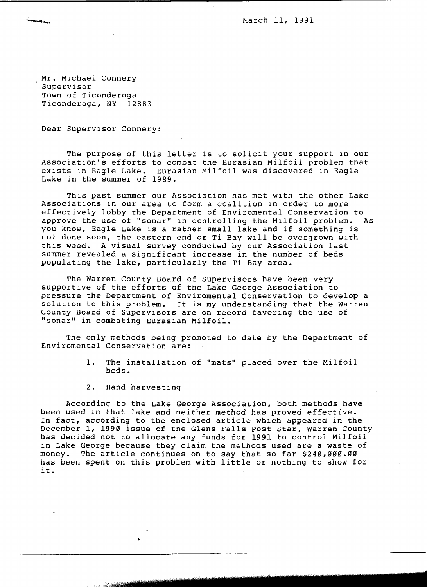March 11, 1991

Mr. Michael Connery Supervisor Town of Ticonderoga Ticonderoga, NY 12883

Cambridge

Dear Supervisor Connery:

The purpose of this letter is to solicit your support in our Association's efforts to combat the Eurasian Milfoil problem that exists in Eagle Lake. Eurasian Milfoil was discovered in Eagle Lake in the summer of 1989.

This past summer our Association has met with the other Lake Associations in our area to form a coalition In order to more effectively lobby the Department of Enviromental Conservation to approve the use of "sonar" in controlling the Milfoil problem. As you know, Eagle Lake is a rather small lake and *if* something is not done soon, the eastern end or Ti Bay will be overgrown with tnis weed. A visual survey conducted by our Association last summer revealed a significant increase in the number of beds populating the lake, particularly the Ti Bay area.

The Warren County Board of Supervisors have been very supportive of the efforts of the Lake George Association to pressure the Department of Enviromental Conservation to develop a solution to this problem. It is my understanding that the Warren County Board of Supervisors are on record favoring the use of "sonar" in combating Eurasian Milfoil.

The only methods being promoted to date by the Department of Enviromental Conservation are:

- 1. The installation of "mats" placed over the Milfoil beds.
- 2. Hand harvesting

•

According to the Lake George Association, both methods have been used in that lake and neither method has proved effective. In fact, according to the enclosed article which appeared in the December 1, 1990 *issue* of tne Glens Falls Post star, Warren County has decided not to allocate any funds for 1991 to control Milfoil in Lake George because they claim the methods used are a waste of money. The article continues on to say that so far \$240,000.00 has been spent on this problem with little or nothing to show for it.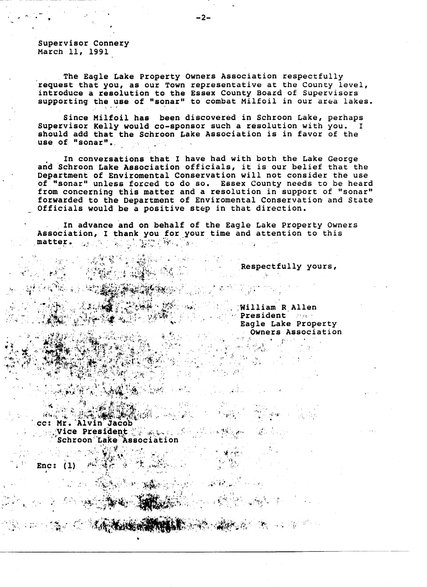Supervisor Connery March 11, 1991

------------------------~----------

The Eagle Lake Property Owners Association respectfully request that you, as our Town representative at the County level, introduce a resolution to the Essex County Board of Supervisors supporting the use of "sonar" to combat Milfoil in our area lakes.

Since Milfoil has been discovered in Schroon Lake, perhaps Supervisor Kelly would co-sponsor such a resolution with you. should add that the Schroon Lake Association is in favor of the use of "sonar".

. In conversations that I have had with both the Lake George and Schroon Lake Association officials, it is our belief that the Department of Enviromental Conservation will not consider the use of "sonar" unless forced to do so. Essex County needs to be heard from concerning this matter and a resolution in support of "sonar" forwarded to the Department of Enviromental Conservation and State Officials would be a positive step in that direction.

. In advance and on behalf of the Eagle Lake Property Owners In advance and on behalf of the Eagle Lake Property Owne<br>Association, I thank you for your time and attention to this matter.  $\texttt{matter} \leftarrow \textcolor{red}{\textbf{u}_i} \left( \textcolor{red}{\textbf{v}_i} \right) \left( \textcolor{red}{\textbf{v}_i} \right) \left( \textcolor{red}{\textbf{v}_i} \right) \left( \textcolor{red}{\textbf{v}_i} \right) \left( \textcolor{red}{\textbf{v}_i} \right) \left( \textcolor{red}{\textbf{v}_i} \right) \left( \textcolor{red}{\textbf{v}_i} \right) \left( \textcolor{red}{\textbf{v}_i} \right) \left( \textcolor{red}{\textbf{v}_i} \right) \left( \textcolor{red}{\textbf{v}_i}$ 

Respectfully yours,

-I'

المستنبع فبقض

 $\cdot$  ; ;  $\cdot$  ,  $\cdot$   $\cdot$   $\cdot$ 

 $\mathbf{r}_\mathrm{c}$  .

ほかにっ

 $\mathcal{C}^{\mathcal{A}}$ 

 $\mathcal{L}^{\text{int}}_{\text{max}}$ 

~, .

, .  $\mathcal{L}$  .

:William R Allen  $\blacksquare$  **President**  $\blacksquare$ Eagle Lake Property Owners Association *r- .* 

"f ' ..

**THE THE TANK AND THE TABLE TO THE TANK OF THE TANK OF THE TANK OF THE TANK OF THE TANK OF THE TANK OF THE TANK** cc: Mr. Alvin Jacob  $\frac{1}{2}$ . Wice President  $\frac{1}{2}$ fL.. t~:lf,·.:.: it-·. *.1",*   $\mathcal{L} \rightarrow \mathcal{L}$  . Schroon Lake Association , --: ... 2019年1月

•

Enc:  $\overline{(\mathbf{1})}^{\mathbf{\cdot}}$ 

: '

I.